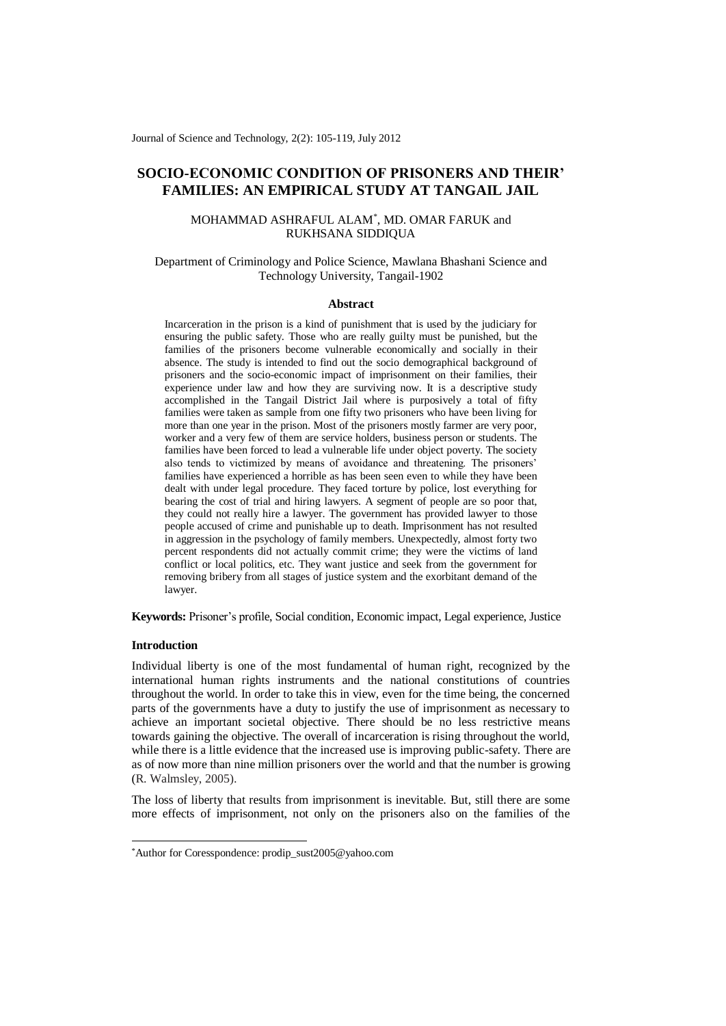Journal of Science and Technology, 2(2): 105-119, July 2012

# **SOCIO-ECONOMIC CONDITION OF PRISONERS AND THEIR' FAMILIES: AN EMPIRICAL STUDY AT TANGAIL JAIL**

# MOHAMMAD ASHRAFUL ALAM\* , MD. OMAR FARUK and RUKHSANA SIDDIQUA

# Department of Criminology and Police Science, Mawlana Bhashani Science and Technology University, Tangail-1902

#### **Abstract**

Incarceration in the prison is a kind of punishment that is used by the judiciary for ensuring the public safety. Those who are really guilty must be punished, but the families of the prisoners become vulnerable economically and socially in their absence. The study is intended to find out the socio demographical background of prisoners and the socio-economic impact of imprisonment on their families, their experience under law and how they are surviving now. It is a descriptive study accomplished in the Tangail District Jail where is purposively a total of fifty families were taken as sample from one fifty two prisoners who have been living for more than one year in the prison. Most of the prisoners mostly farmer are very poor, worker and a very few of them are service holders, business person or students. The families have been forced to lead a vulnerable life under object poverty. The society also tends to victimized by means of avoidance and threatening. The prisoners' families have experienced a horrible as has been seen even to while they have been dealt with under legal procedure. They faced torture by police, lost everything for bearing the cost of trial and hiring lawyers. A segment of people are so poor that, they could not really hire a lawyer. The government has provided lawyer to those people accused of crime and punishable up to death. Imprisonment has not resulted in aggression in the psychology of family members. Unexpectedly, almost forty two percent respondents did not actually commit crime; they were the victims of land conflict or local politics, etc. They want justice and seek from the government for removing bribery from all stages of justice system and the exorbitant demand of the lawyer.

**Keywords:** Prisoner's profile, Social condition, Economic impact, Legal experience, Justice

## **Introduction**

-

Individual liberty is one of the most fundamental of human right, recognized by the international human rights instruments and the national constitutions of countries throughout the world. In order to take this in view, even for the time being, the concerned parts of the governments have a duty to justify the use of imprisonment as necessary to achieve an important societal objective. There should be no less restrictive means towards gaining the objective. The overall of incarceration is rising throughout the world, while there is a little evidence that the increased use is improving public-safety. There are as of now more than nine million prisoners over the world and that the number is growing (R. Walmsley, 2005).

The loss of liberty that results from imprisonment is inevitable. But, still there are some more effects of imprisonment, not only on the prisoners also on the families of the

<sup>\*</sup>Author for Coresspondence: prodip\_sust2005@yahoo.com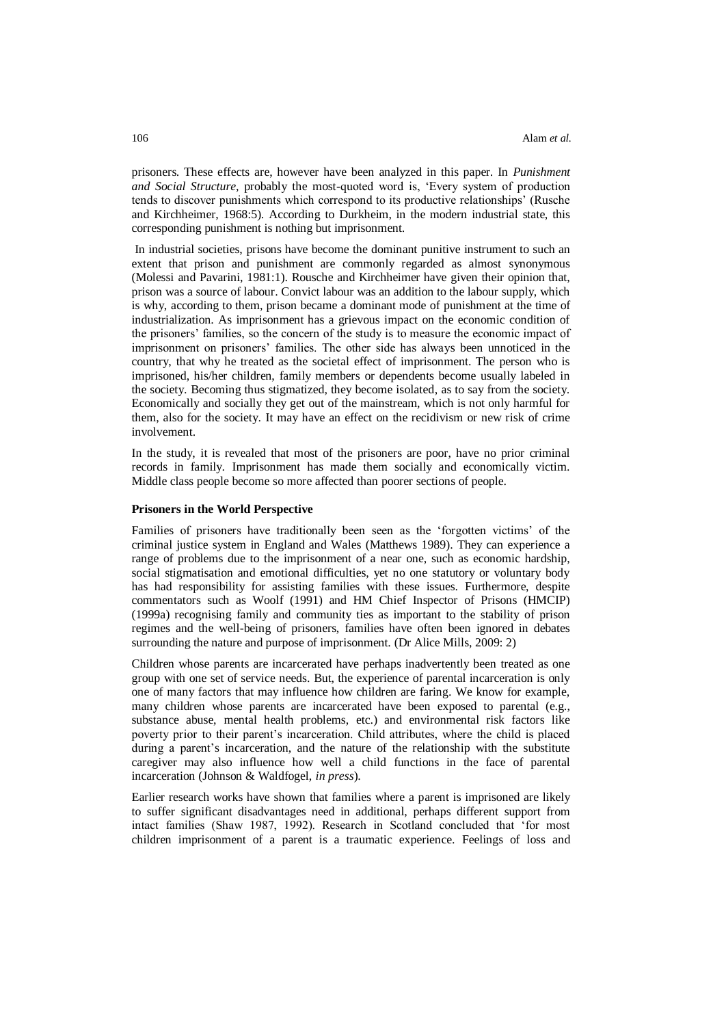prisoners. These effects are, however have been analyzed in this paper. In *Punishment and Social Structure,* probably the most-quoted word is, 'Every system of production tends to discover punishments which correspond to its productive relationships' (Rusche and Kirchheimer, 1968:5). According to Durkheim, in the modern industrial state, this corresponding punishment is nothing but imprisonment.

In industrial societies, prisons have become the dominant punitive instrument to such an extent that prison and punishment are commonly regarded as almost synonymous (Molessi and Pavarini, 1981:1). Rousche and Kirchheimer have given their opinion that, prison was a source of labour. Convict labour was an addition to the labour supply, which is why, according to them, prison became a dominant mode of punishment at the time of industrialization. As imprisonment has a grievous impact on the economic condition of the prisoners' families, so the concern of the study is to measure the economic impact of imprisonment on prisoners' families. The other side has always been unnoticed in the country, that why he treated as the societal effect of imprisonment. The person who is imprisoned, his/her children, family members or dependents become usually labeled in the society. Becoming thus stigmatized, they become isolated, as to say from the society. Economically and socially they get out of the mainstream, which is not only harmful for them, also for the society. It may have an effect on the recidivism or new risk of crime involvement.

In the study, it is revealed that most of the prisoners are poor, have no prior criminal records in family. Imprisonment has made them socially and economically victim. Middle class people become so more affected than poorer sections of people.

## **Prisoners in the World Perspective**

Families of prisoners have traditionally been seen as the 'forgotten victims' of the criminal justice system in England and Wales (Matthews 1989). They can experience a range of problems due to the imprisonment of a near one, such as economic hardship, social stigmatisation and emotional difficulties, yet no one statutory or voluntary body has had responsibility for assisting families with these issues. Furthermore, despite commentators such as Woolf (1991) and HM Chief Inspector of Prisons (HMCIP) (1999a) recognising family and community ties as important to the stability of prison regimes and the well-being of prisoners, families have often been ignored in debates surrounding the nature and purpose of imprisonment. (Dr Alice Mills, 2009: 2)

Children whose parents are incarcerated have perhaps inadvertently been treated as one group with one set of service needs. But, the experience of parental incarceration is only one of many factors that may influence how children are faring. We know for example, many children whose parents are incarcerated have been exposed to parental (e.g., substance abuse, mental health problems, etc.) and environmental risk factors like poverty prior to their parent's incarceration. Child attributes, where the child is placed during a parent's incarceration, and the nature of the relationship with the substitute caregiver may also influence how well a child functions in the face of parental incarceration (Johnson & Waldfogel, *in press*).

Earlier research works have shown that families where a parent is imprisoned are likely to suffer significant disadvantages need in additional, perhaps different support from intact families (Shaw 1987, 1992). Research in Scotland concluded that 'for most children imprisonment of a parent is a traumatic experience. Feelings of loss and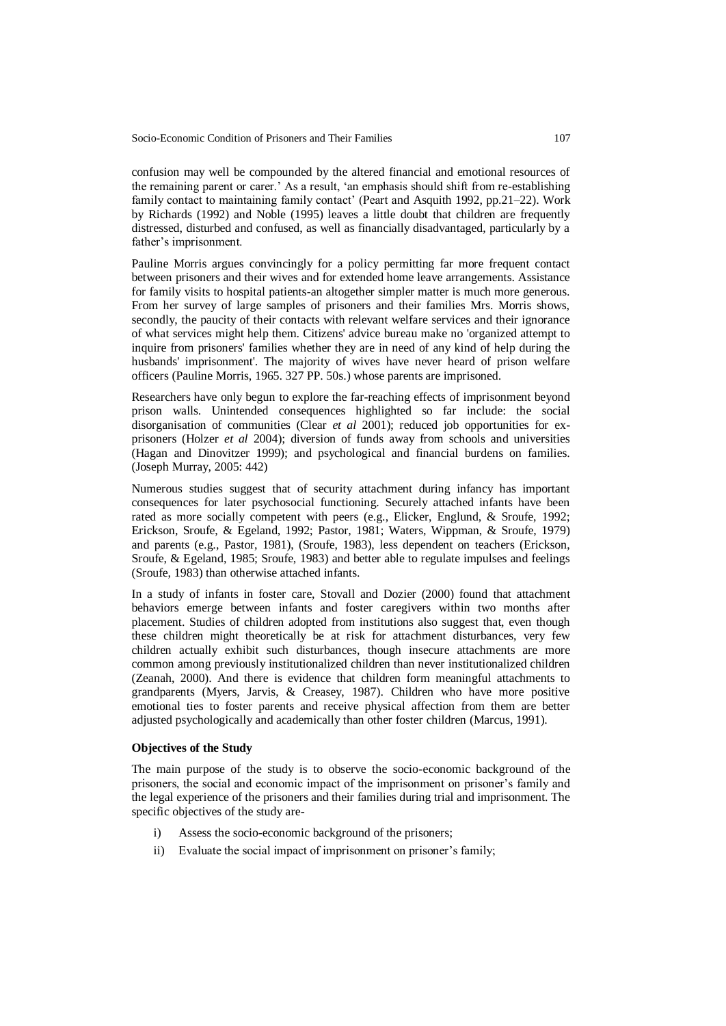confusion may well be compounded by the altered financial and emotional resources of the remaining parent or carer.' As a result, 'an emphasis should shift from re-establishing family contact to maintaining family contact' (Peart and Asquith 1992, pp.21–22). Work by Richards (1992) and Noble (1995) leaves a little doubt that children are frequently distressed, disturbed and confused, as well as financially disadvantaged, particularly by a father's imprisonment.

Pauline Morris argues convincingly for a policy permitting far more frequent contact between prisoners and their wives and for extended home leave arrangements. Assistance for family visits to hospital patients-an altogether simpler matter is much more generous. From her survey of large samples of prisoners and their families Mrs. Morris shows, secondly, the paucity of their contacts with relevant welfare services and their ignorance of what services might help them. Citizens' advice bureau make no 'organized attempt to inquire from prisoners' families whether they are in need of any kind of help during the husbands' imprisonment'. The majority of wives have never heard of prison welfare officers (Pauline Morris, 1965. 327 PP. 50s.) whose parents are imprisoned.

Researchers have only begun to explore the far-reaching effects of imprisonment beyond prison walls. Unintended consequences highlighted so far include: the social disorganisation of communities (Clear *et al* 2001); reduced job opportunities for exprisoners (Holzer *et al* 2004); diversion of funds away from schools and universities (Hagan and Dinovitzer 1999); and psychological and financial burdens on families. (Joseph Murray, 2005: 442)

Numerous studies suggest that of security attachment during infancy has important consequences for later psychosocial functioning. Securely attached infants have been rated as more socially competent with peers (e.g., Elicker, Englund, & Sroufe, 1992; Erickson, Sroufe, & Egeland, 1992; Pastor, 1981; Waters, Wippman, & Sroufe, 1979) and parents (e.g., Pastor, 1981), (Sroufe, 1983), less dependent on teachers (Erickson, Sroufe, & Egeland, 1985; Sroufe, 1983) and better able to regulate impulses and feelings (Sroufe, 1983) than otherwise attached infants.

In a study of infants in foster care, Stovall and Dozier (2000) found that attachment behaviors emerge between infants and foster caregivers within two months after placement. Studies of children adopted from institutions also suggest that, even though these children might theoretically be at risk for attachment disturbances, very few children actually exhibit such disturbances, though insecure attachments are more common among previously institutionalized children than never institutionalized children (Zeanah, 2000). And there is evidence that children form meaningful attachments to grandparents (Myers, Jarvis, & Creasey, 1987). Children who have more positive emotional ties to foster parents and receive physical affection from them are better adjusted psychologically and academically than other foster children (Marcus, 1991).

## **Objectives of the Study**

The main purpose of the study is to observe the socio-economic background of the prisoners, the social and economic impact of the imprisonment on prisoner's family and the legal experience of the prisoners and their families during trial and imprisonment. The specific objectives of the study are-

- i) Assess the socio-economic background of the prisoners;
- ii) Evaluate the social impact of imprisonment on prisoner's family;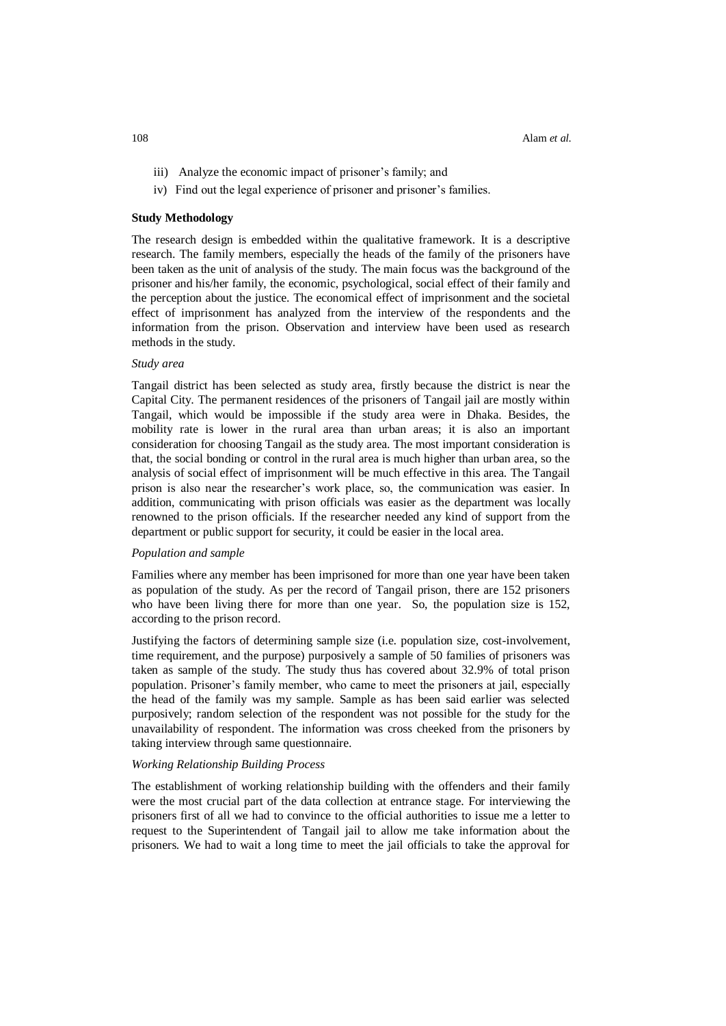- iii) Analyze the economic impact of prisoner's family; and
- iv) Find out the legal experience of prisoner and prisoner's families.

## **Study Methodology**

The research design is embedded within the qualitative framework. It is a descriptive research. The family members, especially the heads of the family of the prisoners have been taken as the unit of analysis of the study. The main focus was the background of the prisoner and his/her family, the economic, psychological, social effect of their family and the perception about the justice. The economical effect of imprisonment and the societal effect of imprisonment has analyzed from the interview of the respondents and the information from the prison. Observation and interview have been used as research methods in the study.

## *Study area*

Tangail district has been selected as study area, firstly because the district is near the Capital City. The permanent residences of the prisoners of Tangail jail are mostly within Tangail, which would be impossible if the study area were in Dhaka. Besides, the mobility rate is lower in the rural area than urban areas; it is also an important consideration for choosing Tangail as the study area. The most important consideration is that, the social bonding or control in the rural area is much higher than urban area, so the analysis of social effect of imprisonment will be much effective in this area. The Tangail prison is also near the researcher's work place, so, the communication was easier. In addition, communicating with prison officials was easier as the department was locally renowned to the prison officials. If the researcher needed any kind of support from the department or public support for security, it could be easier in the local area.

## *Population and sample*

Families where any member has been imprisoned for more than one year have been taken as population of the study. As per the record of Tangail prison, there are 152 prisoners who have been living there for more than one year. So, the population size is 152, according to the prison record.

Justifying the factors of determining sample size (i.e. population size, cost-involvement, time requirement, and the purpose) purposively a sample of 50 families of prisoners was taken as sample of the study. The study thus has covered about 32.9% of total prison population. Prisoner's family member, who came to meet the prisoners at jail, especially the head of the family was my sample. Sample as has been said earlier was selected purposively; random selection of the respondent was not possible for the study for the unavailability of respondent. The information was cross cheeked from the prisoners by taking interview through same questionnaire.

## *Working Relationship Building Process*

The establishment of working relationship building with the offenders and their family were the most crucial part of the data collection at entrance stage. For interviewing the prisoners first of all we had to convince to the official authorities to issue me a letter to request to the Superintendent of Tangail jail to allow me take information about the prisoners. We had to wait a long time to meet the jail officials to take the approval for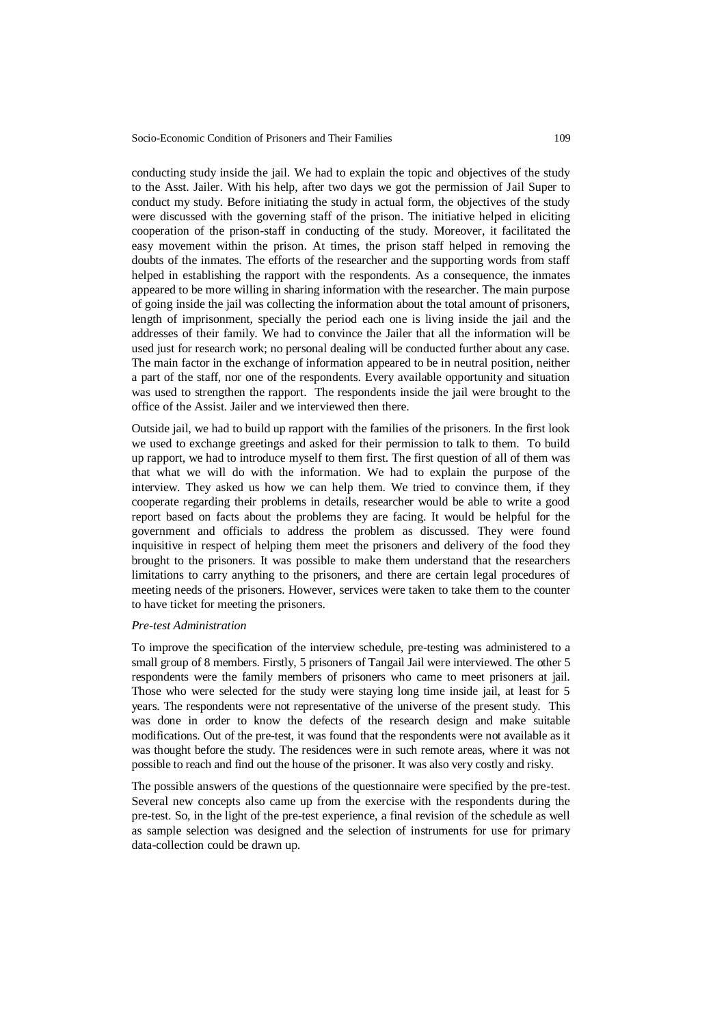conducting study inside the jail. We had to explain the topic and objectives of the study to the Asst. Jailer. With his help, after two days we got the permission of Jail Super to conduct my study. Before initiating the study in actual form, the objectives of the study were discussed with the governing staff of the prison. The initiative helped in eliciting cooperation of the prison-staff in conducting of the study. Moreover, it facilitated the easy movement within the prison. At times, the prison staff helped in removing the doubts of the inmates. The efforts of the researcher and the supporting words from staff helped in establishing the rapport with the respondents. As a consequence, the inmates appeared to be more willing in sharing information with the researcher. The main purpose of going inside the jail was collecting the information about the total amount of prisoners, length of imprisonment, specially the period each one is living inside the jail and the addresses of their family. We had to convince the Jailer that all the information will be used just for research work; no personal dealing will be conducted further about any case. The main factor in the exchange of information appeared to be in neutral position, neither a part of the staff, nor one of the respondents. Every available opportunity and situation was used to strengthen the rapport. The respondents inside the jail were brought to the office of the Assist. Jailer and we interviewed then there.

Outside jail, we had to build up rapport with the families of the prisoners. In the first look we used to exchange greetings and asked for their permission to talk to them. To build up rapport, we had to introduce myself to them first. The first question of all of them was that what we will do with the information. We had to explain the purpose of the interview. They asked us how we can help them. We tried to convince them, if they cooperate regarding their problems in details, researcher would be able to write a good report based on facts about the problems they are facing. It would be helpful for the government and officials to address the problem as discussed. They were found inquisitive in respect of helping them meet the prisoners and delivery of the food they brought to the prisoners. It was possible to make them understand that the researchers limitations to carry anything to the prisoners, and there are certain legal procedures of meeting needs of the prisoners. However, services were taken to take them to the counter to have ticket for meeting the prisoners.

#### *Pre-test Administration*

To improve the specification of the interview schedule, pre-testing was administered to a small group of 8 members. Firstly, 5 prisoners of Tangail Jail were interviewed. The other 5 respondents were the family members of prisoners who came to meet prisoners at jail. Those who were selected for the study were staying long time inside jail, at least for 5 years. The respondents were not representative of the universe of the present study. This was done in order to know the defects of the research design and make suitable modifications. Out of the pre-test, it was found that the respondents were not available as it was thought before the study. The residences were in such remote areas, where it was not possible to reach and find out the house of the prisoner. It was also very costly and risky.

The possible answers of the questions of the questionnaire were specified by the pre-test. Several new concepts also came up from the exercise with the respondents during the pre-test. So, in the light of the pre-test experience, a final revision of the schedule as well as sample selection was designed and the selection of instruments for use for primary data-collection could be drawn up.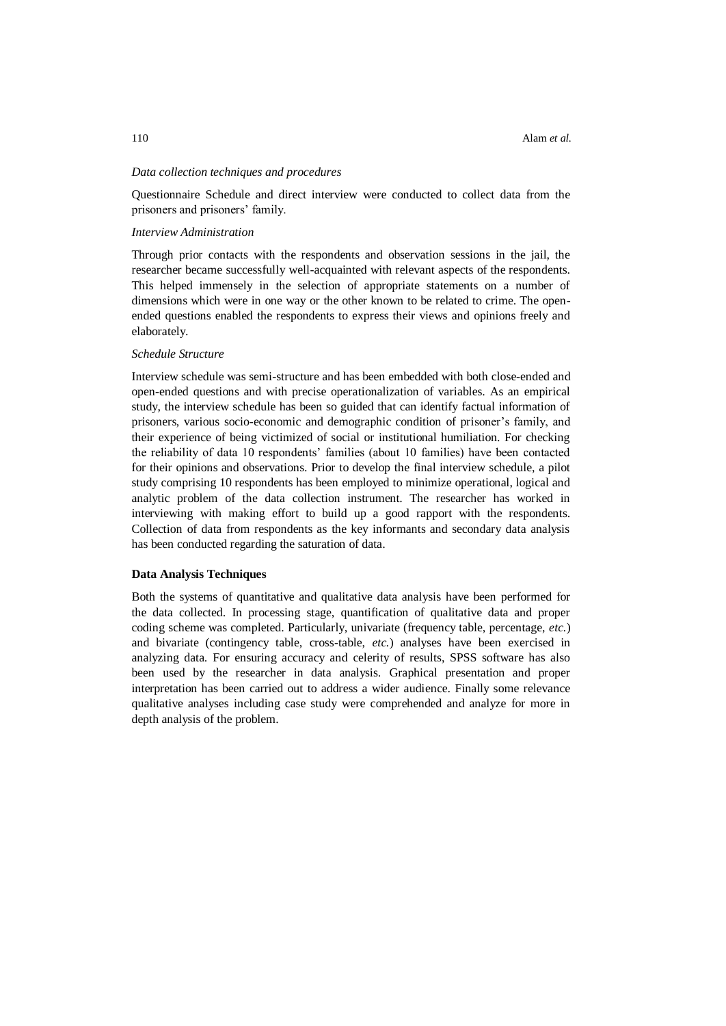## *Data collection techniques and procedures*

Questionnaire Schedule and direct interview were conducted to collect data from the prisoners and prisoners' family.

# *Interview Administration*

Through prior contacts with the respondents and observation sessions in the jail, the researcher became successfully well-acquainted with relevant aspects of the respondents. This helped immensely in the selection of appropriate statements on a number of dimensions which were in one way or the other known to be related to crime. The openended questions enabled the respondents to express their views and opinions freely and elaborately.

#### *Schedule Structure*

Interview schedule was semi-structure and has been embedded with both close-ended and open-ended questions and with precise operationalization of variables. As an empirical study, the interview schedule has been so guided that can identify factual information of prisoners, various socio-economic and demographic condition of prisoner's family, and their experience of being victimized of social or institutional humiliation. For checking the reliability of data 10 respondents' families (about 10 families) have been contacted for their opinions and observations. Prior to develop the final interview schedule, a pilot study comprising 10 respondents has been employed to minimize operational, logical and analytic problem of the data collection instrument. The researcher has worked in interviewing with making effort to build up a good rapport with the respondents. Collection of data from respondents as the key informants and secondary data analysis has been conducted regarding the saturation of data.

## **Data Analysis Techniques**

Both the systems of quantitative and qualitative data analysis have been performed for the data collected. In processing stage, quantification of qualitative data and proper coding scheme was completed. Particularly, univariate (frequency table, percentage, *etc.*) and bivariate (contingency table, cross-table, *etc.*) analyses have been exercised in analyzing data. For ensuring accuracy and celerity of results, SPSS software has also been used by the researcher in data analysis. Graphical presentation and proper interpretation has been carried out to address a wider audience. Finally some relevance qualitative analyses including case study were comprehended and analyze for more in depth analysis of the problem.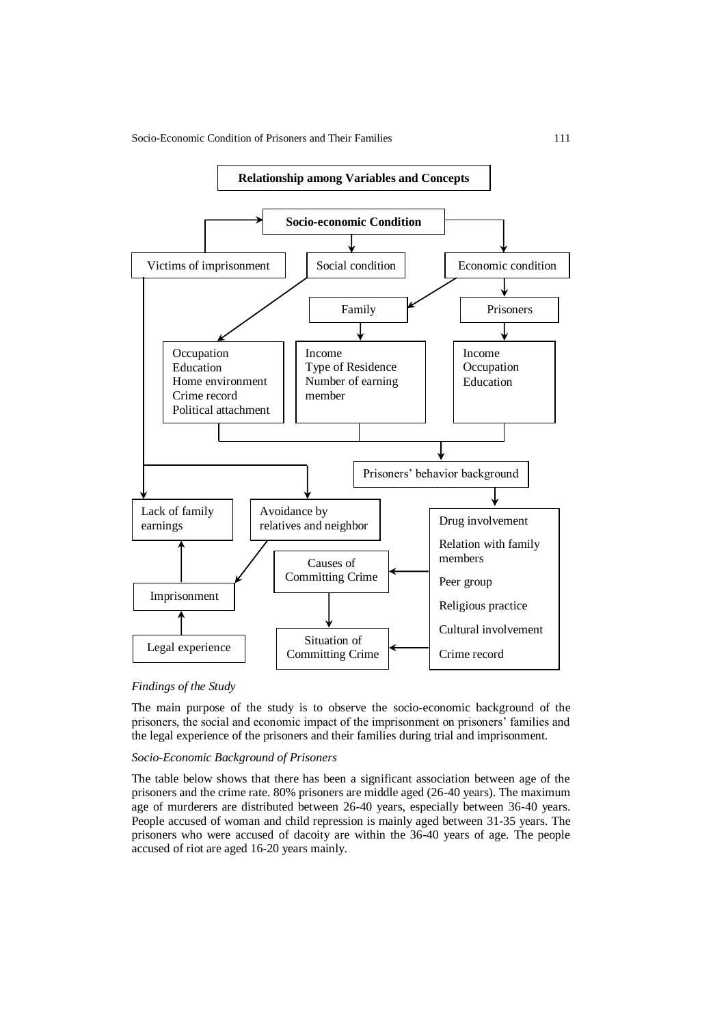

#### *Findings of the Study*

The main purpose of the study is to observe the socio-economic background of the prisoners, the social and economic impact of the imprisonment on prisoners' families and the legal experience of the prisoners and their families during trial and imprisonment.

# *Socio-Economic Background of Prisoners*

The table below shows that there has been a significant association between age of the prisoners and the crime rate. 80% prisoners are middle aged (26-40 years). The maximum age of murderers are distributed between 26-40 years, especially between 36-40 years. People accused of woman and child repression is mainly aged between 31-35 years. The prisoners who were accused of dacoity are within the 36-40 years of age. The people accused of riot are aged 16-20 years mainly.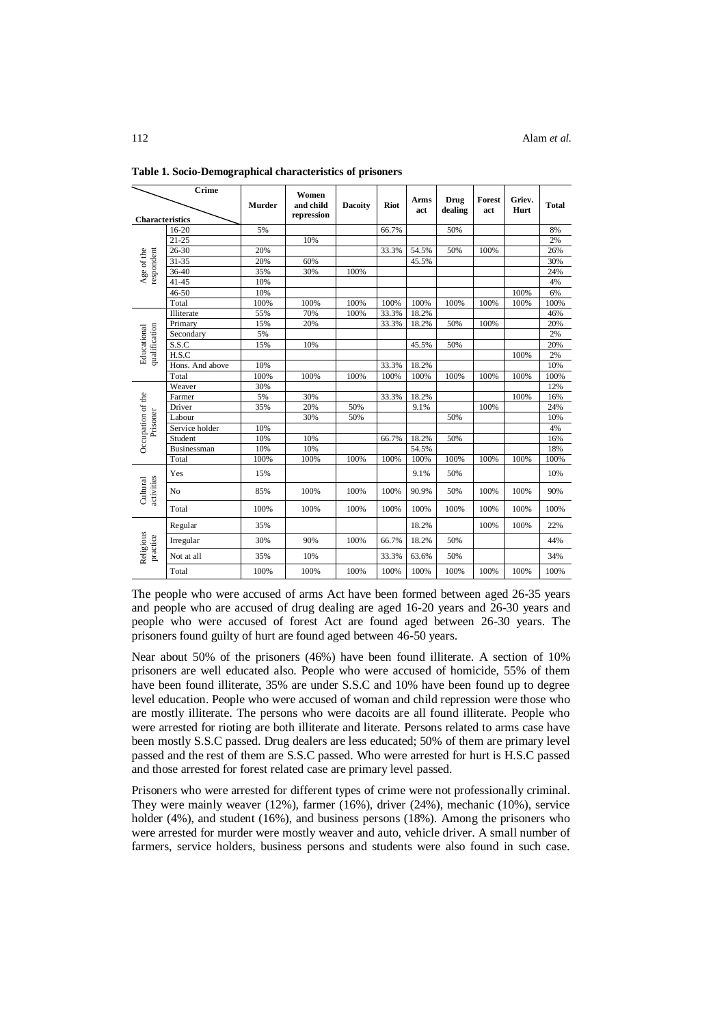| Crime                        |                 |               | Women      |                |             |       |             |        |        |              |
|------------------------------|-----------------|---------------|------------|----------------|-------------|-------|-------------|--------|--------|--------------|
|                              |                 | <b>Murder</b> | and child  | <b>Dacoity</b> | <b>Riot</b> | Arms  | <b>Drug</b> | Forest | Griev. | <b>Total</b> |
| <b>Characteristics</b>       |                 |               | repression |                |             | act   | dealing     | act    | Hurt   |              |
| respondent<br>Age of the     | $16 - 20$       | 5%            |            |                | 66.7%       |       | 50%         |        |        | 8%           |
|                              | $21 - 25$       |               | 10%        |                |             |       |             |        |        | 2%           |
|                              | $26 - 30$       | 20%           |            |                | 33.3%       | 54.5% | 50%         | 100%   |        | 26%          |
|                              | $31 - 35$       | 20%           | 60%        |                |             | 45.5% |             |        |        | 30%          |
|                              | $36 - 40$       | 35%           | 30%        | 100%           |             |       |             |        |        | 24%          |
|                              | $41 - 45$       | 10%           |            |                |             |       |             |        |        | 4%           |
|                              | $46 - 50$       | 10%           |            |                |             |       |             |        | 100%   | 6%           |
|                              | Total           | 100%          | 100%       | 100%           | 100%        | 100%  | 100%        | 100%   | 100%   | 100%         |
|                              | Illiterate      | 55%           | 70%        | 100%           | 33.3%       | 18.2% |             |        |        | 46%          |
|                              | Primary         | 15%           | 20%        |                | 33.3%       | 18.2% | 50%         | 100%   |        | 20%          |
|                              | Secondary       | 5%            |            |                |             |       |             |        |        | 2%           |
|                              | S.S.C           | 15%           | 10%        |                |             | 45.5% | 50%         |        |        | 20%          |
| qualification<br>Educational | H.S.C           |               |            |                |             |       |             |        | 100%   | 2%           |
|                              | Hons. And above | 10%           |            |                | 33.3%       | 18.2% |             |        |        | 10%          |
|                              | Total           | 100%          | 100%       | 100%           | 100%        | 100%  | 100%        | 100%   | 100%   | 100%         |
|                              | Weaver          | 30%           |            |                |             |       |             |        |        | 12%          |
|                              | Farmer          | 5%            | 30%        |                | 33.3%       | 18.2% |             |        | 100%   | 16%          |
|                              | Driver          | 35%           | 20%        | 50%            |             | 9.1%  |             | 100%   |        | 24%          |
| Prisoner                     | Labour          |               | 30%        | 50%            |             |       | 50%         |        |        | 10%          |
|                              | Service holder  | 10%           |            |                |             |       |             |        |        | 4%           |
| Occupation of the            | Student         | 10%           | 10%        |                | 66.7%       | 18.2% | 50%         |        |        | 16%          |
|                              | Businessman     | 10%           | 10%        |                |             | 54.5% |             |        |        | 18%          |
|                              | Total           | 100%          | 100%       | 100%           | 100%        | 100%  | 100%        | 100%   | 100%   | 100%         |
| activities<br>Cultural       | Yes             | 15%           |            |                |             | 9.1%  | 50%         |        |        | 10%          |
|                              | N <sub>o</sub>  | 85%           | 100%       | 100%           | 100%        | 90.9% | 50%         | 100%   | 100%   | 90%          |
|                              | Total           | 100%          | 100%       | 100%           | 100%        | 100%  | 100%        | 100%   | 100%   | 100%         |
| Religious<br>practice        | Regular         | 35%           |            |                |             | 18.2% |             | 100%   | 100%   | 22%          |
|                              | Irregular       | 30%           | 90%        | 100%           | 66.7%       | 18.2% | 50%         |        |        | 44%          |
|                              | Not at all      | 35%           | 10%        |                | 33.3%       | 63.6% | 50%         |        |        | 34%          |
|                              | Total           | 100%          | 100%       | 100%           | 100%        | 100%  | 100%        | 100%   | 100%   | 100%         |

**Table 1. Socio-Demographical characteristics of prisoners**

The people who were accused of arms Act have been formed between aged 26-35 years and people who are accused of drug dealing are aged 16-20 years and 26-30 years and people who were accused of forest Act are found aged between 26-30 years. The prisoners found guilty of hurt are found aged between 46-50 years.

Near about 50% of the prisoners (46%) have been found illiterate. A section of 10% prisoners are well educated also. People who were accused of homicide, 55% of them have been found illiterate, 35% are under S.S.C and 10% have been found up to degree level education. People who were accused of woman and child repression were those who are mostly illiterate. The persons who were dacoits are all found illiterate. People who were arrested for rioting are both illiterate and literate. Persons related to arms case have been mostly S.S.C passed. Drug dealers are less educated; 50% of them are primary level passed and the rest of them are S.S.C passed. Who were arrested for hurt is H.S.C passed and those arrested for forest related case are primary level passed.

Prisoners who were arrested for different types of crime were not professionally criminal. They were mainly weaver (12%), farmer (16%), driver (24%), mechanic (10%), service holder (4%), and student (16%), and business persons (18%). Among the prisoners who were arrested for murder were mostly weaver and auto, vehicle driver. A small number of farmers, service holders, business persons and students were also found in such case.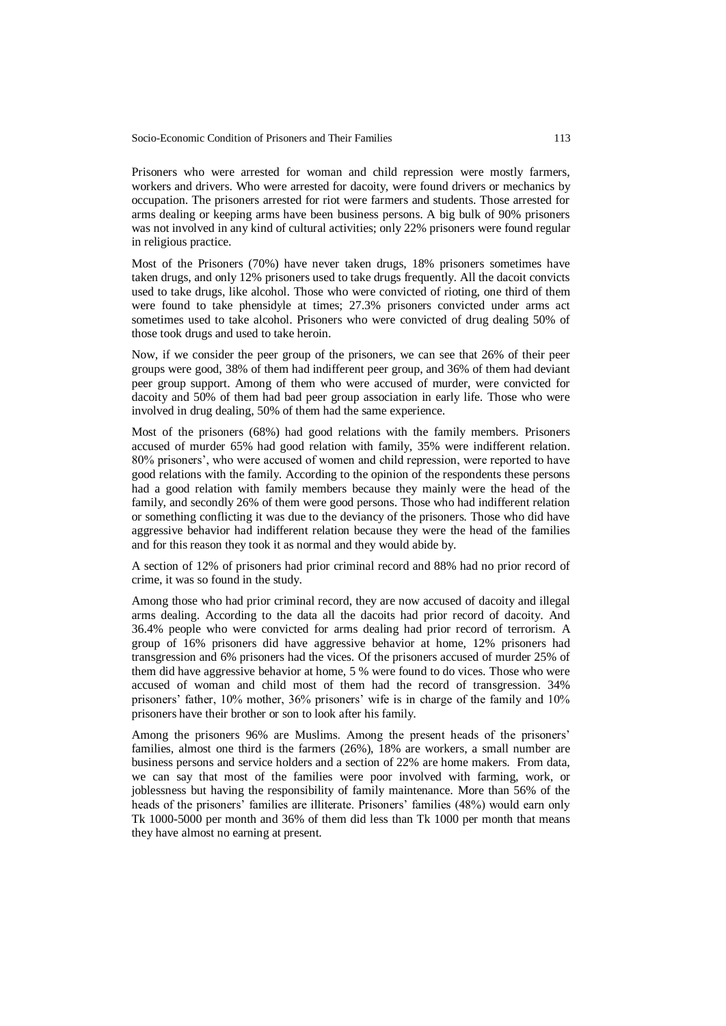Prisoners who were arrested for woman and child repression were mostly farmers, workers and drivers. Who were arrested for dacoity, were found drivers or mechanics by occupation. The prisoners arrested for riot were farmers and students. Those arrested for arms dealing or keeping arms have been business persons. A big bulk of 90% prisoners was not involved in any kind of cultural activities; only 22% prisoners were found regular in religious practice.

Most of the Prisoners (70%) have never taken drugs, 18% prisoners sometimes have taken drugs, and only 12% prisoners used to take drugs frequently. All the dacoit convicts used to take drugs, like alcohol. Those who were convicted of rioting, one third of them were found to take phensidyle at times; 27.3% prisoners convicted under arms act sometimes used to take alcohol. Prisoners who were convicted of drug dealing 50% of those took drugs and used to take heroin.

Now, if we consider the peer group of the prisoners, we can see that 26% of their peer groups were good, 38% of them had indifferent peer group, and 36% of them had deviant peer group support. Among of them who were accused of murder, were convicted for dacoity and 50% of them had bad peer group association in early life. Those who were involved in drug dealing, 50% of them had the same experience.

Most of the prisoners (68%) had good relations with the family members. Prisoners accused of murder 65% had good relation with family, 35% were indifferent relation. 80% prisoners', who were accused of women and child repression, were reported to have good relations with the family. According to the opinion of the respondents these persons had a good relation with family members because they mainly were the head of the family, and secondly 26% of them were good persons. Those who had indifferent relation or something conflicting it was due to the deviancy of the prisoners. Those who did have aggressive behavior had indifferent relation because they were the head of the families and for this reason they took it as normal and they would abide by.

A section of 12% of prisoners had prior criminal record and 88% had no prior record of crime, it was so found in the study.

Among those who had prior criminal record, they are now accused of dacoity and illegal arms dealing. According to the data all the dacoits had prior record of dacoity. And 36.4% people who were convicted for arms dealing had prior record of terrorism. A group of 16% prisoners did have aggressive behavior at home, 12% prisoners had transgression and 6% prisoners had the vices. Of the prisoners accused of murder 25% of them did have aggressive behavior at home, 5 % were found to do vices. Those who were accused of woman and child most of them had the record of transgression. 34% prisoners' father, 10% mother, 36% prisoners' wife is in charge of the family and 10% prisoners have their brother or son to look after his family.

Among the prisoners 96% are Muslims. Among the present heads of the prisoners' families, almost one third is the farmers (26%), 18% are workers, a small number are business persons and service holders and a section of 22% are home makers. From data, we can say that most of the families were poor involved with farming, work, or joblessness but having the responsibility of family maintenance. More than 56% of the heads of the prisoners' families are illiterate. Prisoners' families (48%) would earn only Tk 1000-5000 per month and 36% of them did less than Tk 1000 per month that means they have almost no earning at present.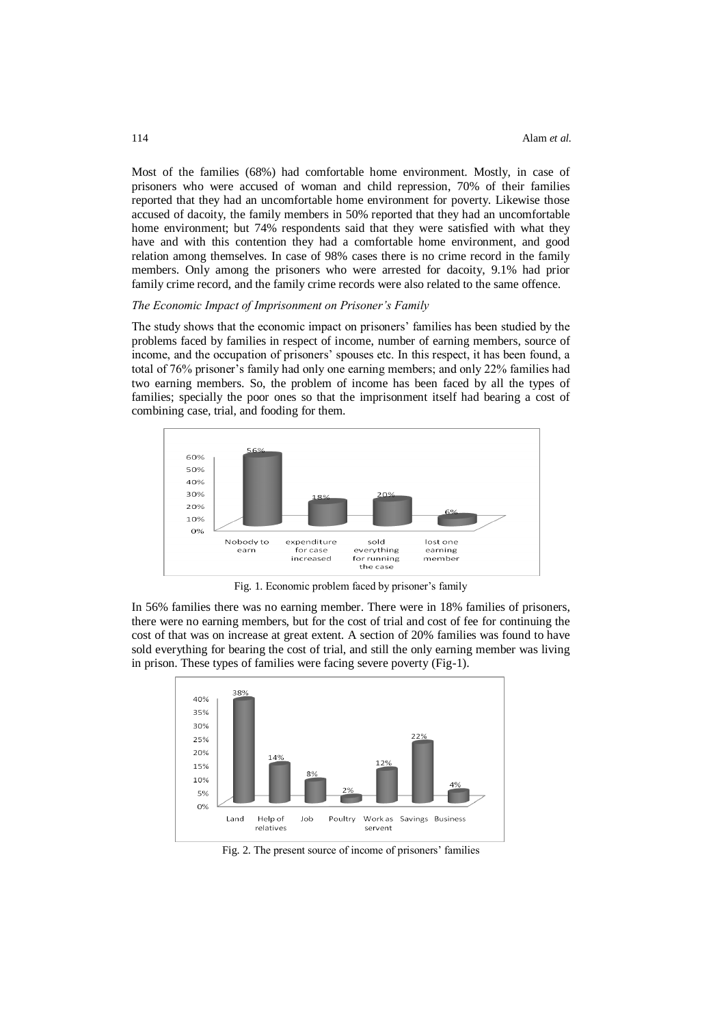Most of the families (68%) had comfortable home environment. Mostly, in case of prisoners who were accused of woman and child repression, 70% of their families reported that they had an uncomfortable home environment for poverty. Likewise those accused of dacoity, the family members in 50% reported that they had an uncomfortable home environment; but 74% respondents said that they were satisfied with what they have and with this contention they had a comfortable home environment, and good relation among themselves. In case of 98% cases there is no crime record in the family members. Only among the prisoners who were arrested for dacoity, 9.1% had prior family crime record, and the family crime records were also related to the same offence.

#### *The Economic Impact of Imprisonment on Prisoner's Family*

The study shows that the economic impact on prisoners' families has been studied by the problems faced by families in respect of income, number of earning members, source of income, and the occupation of prisoners' spouses etc. In this respect, it has been found, a total of 76% prisoner's family had only one earning members; and only 22% families had two earning members. So, the problem of income has been faced by all the types of families; specially the poor ones so that the imprisonment itself had bearing a cost of combining case, trial, and fooding for them.



Fig. 1. Economic problem faced by prisoner's family

In 56% families there was no earning member. There were in 18% families of prisoners, there were no earning members, but for the cost of trial and cost of fee for continuing the cost of that was on increase at great extent. A section of 20% families was found to have sold everything for bearing the cost of trial, and still the only earning member was living in prison. These types of families were facing severe poverty (Fig-1).



Fig. 2. The present source of income of prisoners' families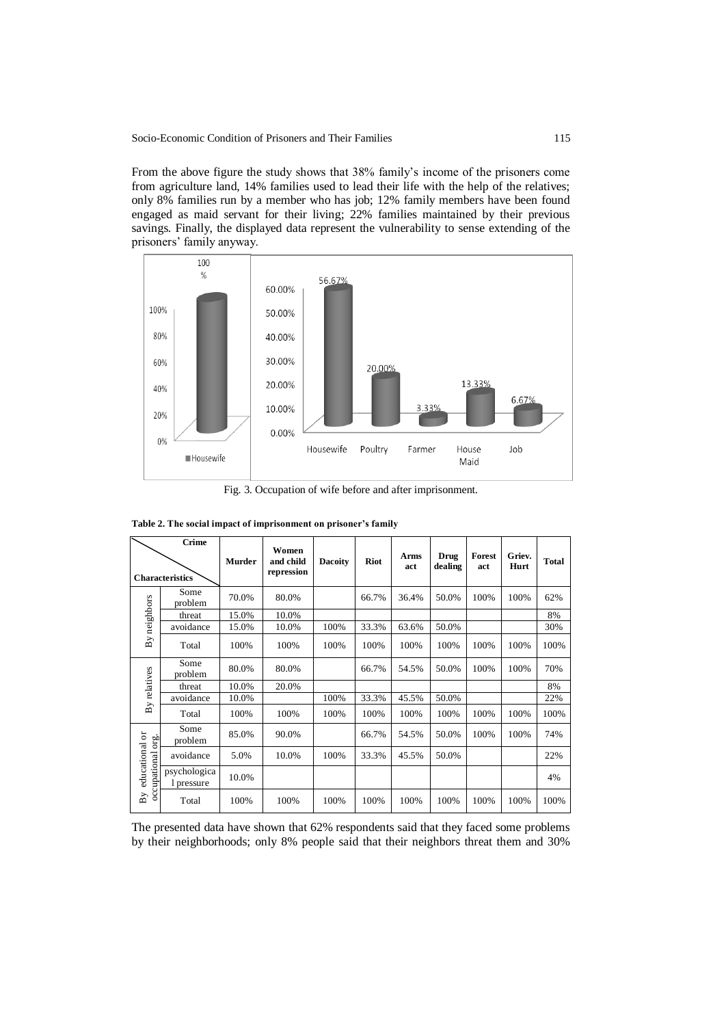From the above figure the study shows that 38% family's income of the prisoners come from agriculture land, 14% families used to lead their life with the help of the relatives; only 8% families run by a member who has job; 12% family members have been found engaged as maid servant for their living; 22% families maintained by their previous savings. Finally, the displayed data represent the vulnerability to sense extending of the prisoners' family anyway.



Fig. 3. Occupation of wife before and after imprisonment.

|                                                                  | Crime                      |        | Women                   |                |             | Arms  | Drug    | Forest | Griev. |              |
|------------------------------------------------------------------|----------------------------|--------|-------------------------|----------------|-------------|-------|---------|--------|--------|--------------|
| <b>Characteristics</b>                                           |                            | Murder | and child<br>repression | <b>Dacoity</b> | <b>Riot</b> | act   | dealing | act    | Hurt   | <b>Total</b> |
| neighbors                                                        | Some<br>problem            | 70.0%  | 80.0%                   |                | 66.7%       | 36.4% | 50.0%   | 100%   | 100%   | 62%          |
|                                                                  | threat                     | 15.0%  | 10.0%                   |                |             |       |         |        |        | 8%           |
|                                                                  | avoidance                  | 15.0%  | 10.0%                   | 100%           | 33.3%       | 63.6% | 50.0%   |        |        | 30%          |
| $_{\rm{By}}$                                                     | Total                      | 100%   | 100%                    | 100%           | 100%        | 100%  | 100%    | 100%   | 100%   | 100%         |
| By relatives                                                     | Some<br>problem            | 80.0%  | 80.0%                   |                | 66.7%       | 54.5% | 50.0%   | 100%   | 100%   | 70%          |
|                                                                  | threat                     | 10.0%  | 20.0%                   |                |             |       |         |        |        | 8%           |
|                                                                  | avoidance                  | 10.0%  |                         | 100%           | 33.3%       | 45.5% | 50.0%   |        |        | 22%          |
|                                                                  | Total                      | 100%   | 100%                    | 100%           | 100%        | 100%  | 100%    | 100%   | 100%   | 100%         |
| educational or<br>org.<br>occupational<br>$\mathbf{B}\mathbf{y}$ | Some<br>problem            | 85.0%  | 90.0%                   |                | 66.7%       | 54.5% | 50.0%   | 100%   | 100%   | 74%          |
|                                                                  | avoidance                  | 5.0%   | 10.0%                   | 100%           | 33.3%       | 45.5% | 50.0%   |        |        | 22%          |
|                                                                  | psychologica<br>1 pressure | 10.0%  |                         |                |             |       |         |        |        | 4%           |
|                                                                  | Total                      | 100%   | 100%                    | 100%           | 100%        | 100%  | 100%    | 100%   | 100%   | 100%         |

**Table 2. The social impact of imprisonment on prisoner's family**

The presented data have shown that 62% respondents said that they faced some problems by their neighborhoods; only 8% people said that their neighbors threat them and 30%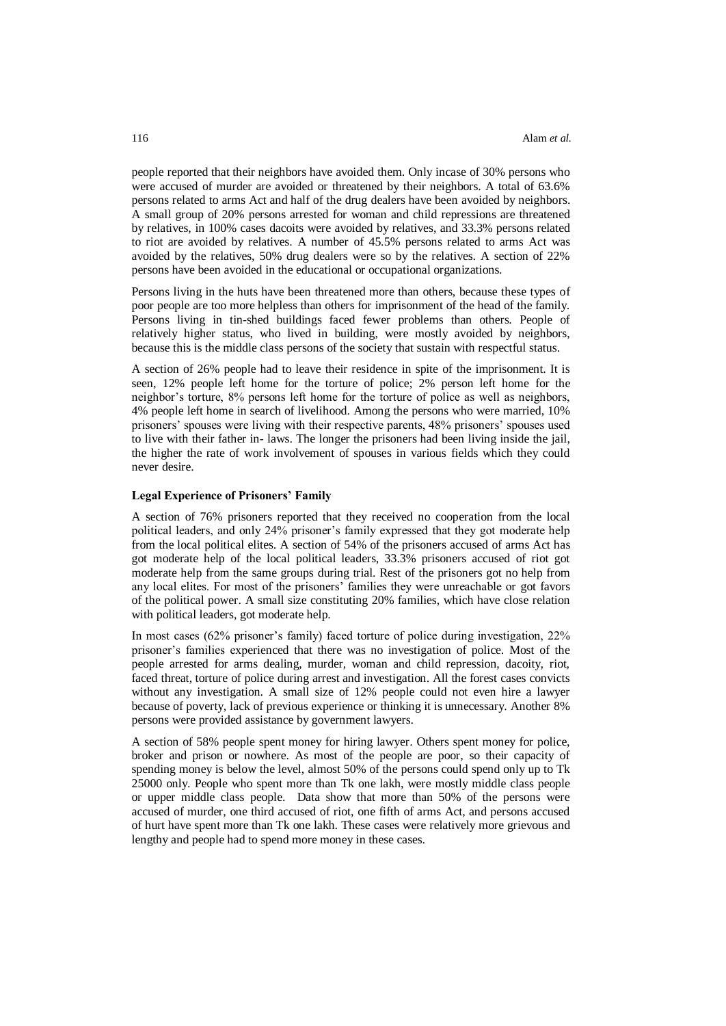people reported that their neighbors have avoided them. Only incase of 30% persons who were accused of murder are avoided or threatened by their neighbors. A total of 63.6% persons related to arms Act and half of the drug dealers have been avoided by neighbors. A small group of 20% persons arrested for woman and child repressions are threatened by relatives, in 100% cases dacoits were avoided by relatives, and 33.3% persons related to riot are avoided by relatives. A number of 45.5% persons related to arms Act was avoided by the relatives, 50% drug dealers were so by the relatives. A section of 22% persons have been avoided in the educational or occupational organizations.

Persons living in the huts have been threatened more than others, because these types of poor people are too more helpless than others for imprisonment of the head of the family. Persons living in tin-shed buildings faced fewer problems than others. People of relatively higher status, who lived in building, were mostly avoided by neighbors, because this is the middle class persons of the society that sustain with respectful status.

A section of 26% people had to leave their residence in spite of the imprisonment. It is seen, 12% people left home for the torture of police; 2% person left home for the neighbor's torture, 8% persons left home for the torture of police as well as neighbors, 4% people left home in search of livelihood. Among the persons who were married, 10% prisoners' spouses were living with their respective parents, 48% prisoners' spouses used to live with their father in- laws. The longer the prisoners had been living inside the jail, the higher the rate of work involvement of spouses in various fields which they could never desire.

#### **Legal Experience of Prisoners' Family**

A section of 76% prisoners reported that they received no cooperation from the local political leaders, and only 24% prisoner's family expressed that they got moderate help from the local political elites. A section of 54% of the prisoners accused of arms Act has got moderate help of the local political leaders, 33.3% prisoners accused of riot got moderate help from the same groups during trial. Rest of the prisoners got no help from any local elites. For most of the prisoners' families they were unreachable or got favors of the political power. A small size constituting 20% families, which have close relation with political leaders, got moderate help.

In most cases (62% prisoner's family) faced torture of police during investigation, 22% prisoner's families experienced that there was no investigation of police. Most of the people arrested for arms dealing, murder, woman and child repression, dacoity, riot, faced threat, torture of police during arrest and investigation. All the forest cases convicts without any investigation. A small size of 12% people could not even hire a lawyer because of poverty, lack of previous experience or thinking it is unnecessary. Another 8% persons were provided assistance by government lawyers.

A section of 58% people spent money for hiring lawyer. Others spent money for police, broker and prison or nowhere. As most of the people are poor, so their capacity of spending money is below the level, almost 50% of the persons could spend only up to Tk 25000 only. People who spent more than Tk one lakh, were mostly middle class people or upper middle class people. Data show that more than 50% of the persons were accused of murder, one third accused of riot, one fifth of arms Act, and persons accused of hurt have spent more than Tk one lakh. These cases were relatively more grievous and lengthy and people had to spend more money in these cases.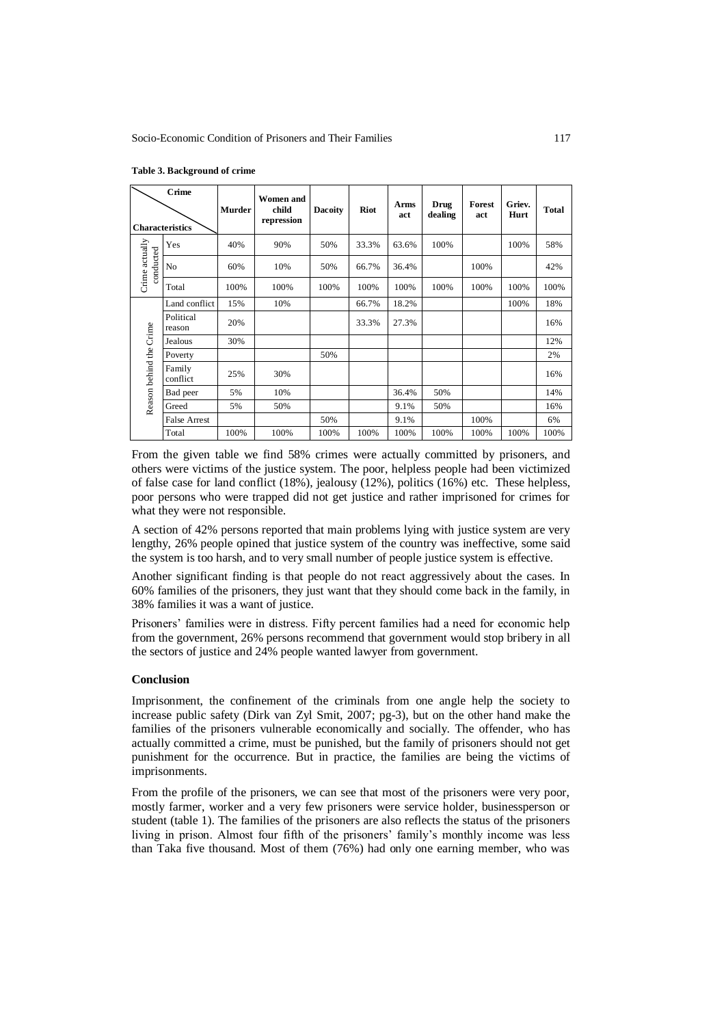|                             | Crime               | Murder | <b>Women and</b><br>child | <b>Dacoity</b> | <b>Riot</b> | <b>Arms</b> | Drug    | Forest | Griev. | Total |
|-----------------------------|---------------------|--------|---------------------------|----------------|-------------|-------------|---------|--------|--------|-------|
| <b>Characteristics</b>      |                     |        | repression                |                |             | act         | dealing | act    | Hurt   |       |
| Crime actually<br>conducted | Yes                 | 40%    | 90%                       | 50%            | 33.3%       | 63.6%       | 100%    |        | 100%   | 58%   |
|                             | N <sub>o</sub>      | 60%    | 10%                       | 50%            | 66.7%       | 36.4%       |         | 100%   |        | 42%   |
|                             | Total               | 100%   | 100%                      | 100%           | 100%        | 100%        | 100%    | 100%   | 100%   | 100%  |
| Crime<br>Reason behind the  | Land conflict       | 15%    | 10%                       |                | 66.7%       | 18.2%       |         |        | 100%   | 18%   |
|                             | Political<br>reason | 20%    |                           |                | 33.3%       | 27.3%       |         |        |        | 16%   |
|                             | Jealous             | 30%    |                           |                |             |             |         |        |        | 12%   |
|                             | Poverty             |        |                           | 50%            |             |             |         |        |        | 2%    |
|                             | Family<br>conflict  | 25%    | 30%                       |                |             |             |         |        |        | 16%   |
|                             | Bad peer            | 5%     | 10%                       |                |             | 36.4%       | 50%     |        |        | 14%   |
|                             | Greed               | 5%     | 50%                       |                |             | 9.1%        | 50%     |        |        | 16%   |
|                             | <b>False Arrest</b> |        |                           | 50%            |             | 9.1%        |         | 100%   |        | 6%    |
|                             | Total               | 100%   | 100%                      | 100%           | 100%        | 100%        | 100%    | 100%   | 100%   | 100%  |

**Table 3. Background of crime**

From the given table we find 58% crimes were actually committed by prisoners, and others were victims of the justice system. The poor, helpless people had been victimized of false case for land conflict (18%), jealousy (12%), politics (16%) etc. These helpless, poor persons who were trapped did not get justice and rather imprisoned for crimes for what they were not responsible.

A section of 42% persons reported that main problems lying with justice system are very lengthy, 26% people opined that justice system of the country was ineffective, some said the system is too harsh, and to very small number of people justice system is effective.

Another significant finding is that people do not react aggressively about the cases. In 60% families of the prisoners, they just want that they should come back in the family, in 38% families it was a want of justice.

Prisoners' families were in distress. Fifty percent families had a need for economic help from the government, 26% persons recommend that government would stop bribery in all the sectors of justice and 24% people wanted lawyer from government.

## **Conclusion**

Imprisonment, the confinement of the criminals from one angle help the society to increase public safety (Dirk van Zyl Smit, 2007; pg-3), but on the other hand make the families of the prisoners vulnerable economically and socially. The offender, who has actually committed a crime, must be punished, but the family of prisoners should not get punishment for the occurrence. But in practice, the families are being the victims of imprisonments.

From the profile of the prisoners, we can see that most of the prisoners were very poor, mostly farmer, worker and a very few prisoners were service holder, businessperson or student (table 1). The families of the prisoners are also reflects the status of the prisoners living in prison. Almost four fifth of the prisoners' family's monthly income was less than Taka five thousand. Most of them (76%) had only one earning member, who was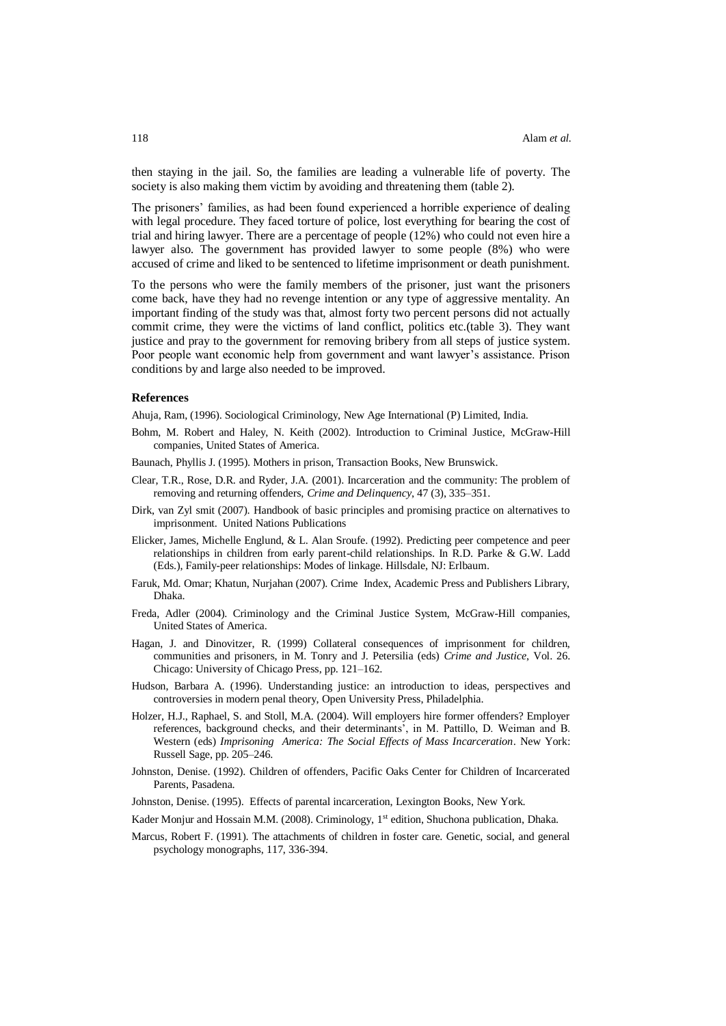then staying in the jail. So, the families are leading a vulnerable life of poverty. The society is also making them victim by avoiding and threatening them (table 2).

The prisoners' families, as had been found experienced a horrible experience of dealing with legal procedure. They faced torture of police, lost everything for bearing the cost of trial and hiring lawyer. There are a percentage of people (12%) who could not even hire a lawyer also. The government has provided lawyer to some people (8%) who were accused of crime and liked to be sentenced to lifetime imprisonment or death punishment.

To the persons who were the family members of the prisoner, just want the prisoners come back, have they had no revenge intention or any type of aggressive mentality. An important finding of the study was that, almost forty two percent persons did not actually commit crime, they were the victims of land conflict, politics etc.(table 3). They want justice and pray to the government for removing bribery from all steps of justice system. Poor people want economic help from government and want lawyer's assistance. Prison conditions by and large also needed to be improved.

## **References**

Ahuja, Ram, (1996). Sociological Criminology, New Age International (P) Limited, India.

- Bohm, M. Robert and Haley, N. Keith (2002). Introduction to Criminal Justice, McGraw-Hill companies, United States of America.
- Baunach, Phyllis J. (1995). Mothers in prison, Transaction Books, New Brunswick.
- Clear, T.R., Rose, D.R. and Ryder, J.A. (2001). Incarceration and the community: The problem of removing and returning offenders, *Crime and Delinquency*, 47 (3), 335–351.
- Dirk, van Zyl smit (2007). Handbook of basic principles and promising practice on alternatives to imprisonment. United Nations Publications
- Elicker, James, Michelle Englund, & L. Alan Sroufe. (1992). Predicting peer competence and peer relationships in children from early parent-child relationships. In R.D. Parke & G.W. Ladd (Eds.), Family-peer relationships: Modes of linkage. Hillsdale, NJ: Erlbaum.
- Faruk, Md. Omar; Khatun, Nurjahan (2007). Crime Index, Academic Press and Publishers Library, Dhaka.
- Freda, Adler (2004). Criminology and the Criminal Justice System, McGraw-Hill companies, United States of America.
- Hagan, J. and Dinovitzer, R. (1999) Collateral consequences of imprisonment for children, communities and prisoners, in M. Tonry and J. Petersilia (eds) *Crime and Justice*, Vol. 26. Chicago: University of Chicago Press, pp. 121–162.
- Hudson, Barbara A. (1996). Understanding justice: an introduction to ideas, perspectives and controversies in modern penal theory, Open University Press, Philadelphia.
- Holzer, H.J., Raphael, S. and Stoll, M.A. (2004). Will employers hire former offenders? Employer references, background checks, and their determinants', in M. Pattillo, D. Weiman and B. Western (eds) *Imprisoning America: The Social Effects of Mass Incarceration*. New York: Russell Sage, pp. 205–246.
- Johnston, Denise. (1992). Children of offenders, Pacific Oaks Center for Children of Incarcerated Parents, Pasadena.
- Johnston, Denise. (1995). Effects of parental incarceration, Lexington Books, New York.
- Kader Monjur and Hossain M.M. (2008). Criminology, 1<sup>st</sup> edition, Shuchona publication, Dhaka.
- Marcus, Robert F. (1991). The attachments of children in foster care. Genetic, social, and general psychology monographs, 117, 336-394.